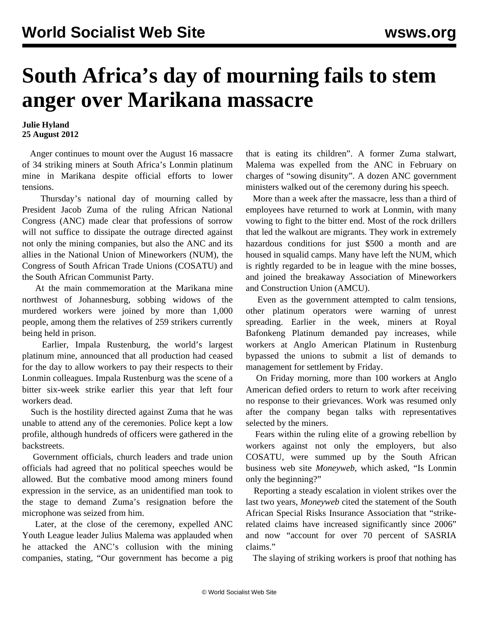## **South Africa's day of mourning fails to stem anger over Marikana massacre**

## **Julie Hyland 25 August 2012**

 Anger continues to mount over the August 16 massacre of 34 striking miners at South Africa's Lonmin platinum mine in Marikana despite official efforts to lower tensions.

 Thursday's national day of mourning called by President Jacob Zuma of the ruling African National Congress (ANC) made clear that professions of sorrow will not suffice to dissipate the outrage directed against not only the mining companies, but also the ANC and its allies in the National Union of Mineworkers (NUM), the Congress of South African Trade Unions (COSATU) and the South African Communist Party.

 At the main commemoration at the Marikana mine northwest of Johannesburg, sobbing widows of the murdered workers were joined by more than 1,000 people, among them the relatives of 259 strikers currently being held in prison.

 Earlier, Impala Rustenburg, the world's largest platinum mine, announced that all production had ceased for the day to allow workers to pay their respects to their Lonmin colleagues. Impala Rustenburg was the scene of a bitter six-week strike earlier this year that left four workers dead.

 Such is the hostility directed against Zuma that he was unable to attend any of the ceremonies. Police kept a low profile, although hundreds of officers were gathered in the backstreets.

 Government officials, church leaders and trade union officials had agreed that no political speeches would be allowed. But the combative mood among miners found expression in the service, as an unidentified man took to the stage to demand Zuma's resignation before the microphone was seized from him.

 Later, at the close of the ceremony, expelled ANC Youth League leader Julius Malema was applauded when he attacked the ANC's collusion with the mining companies, stating, "Our government has become a pig

that is eating its children". A former Zuma stalwart, Malema was expelled from the ANC in February on charges of "sowing disunity". A dozen ANC government ministers walked out of the ceremony during his speech.

 More than a week after the massacre, less than a third of employees have returned to work at Lonmin, with many vowing to fight to the bitter end. Most of the rock drillers that led the walkout are migrants. They work in extremely hazardous conditions for just \$500 a month and are housed in squalid camps. Many have left the NUM, which is rightly regarded to be in league with the mine bosses, and joined the breakaway Association of Mineworkers and Construction Union (AMCU).

 Even as the government attempted to calm tensions, other platinum operators were warning of unrest spreading. Earlier in the week, miners at Royal Bafonkeng Platinum demanded pay increases, while workers at Anglo American Platinum in Rustenburg bypassed the unions to submit a list of demands to management for settlement by Friday.

 On Friday morning, more than 100 workers at Anglo American defied orders to return to work after receiving no response to their grievances. Work was resumed only after the company began talks with representatives selected by the miners.

 Fears within the ruling elite of a growing rebellion by workers against not only the employers, but also COSATU, were summed up by the South African business web site *Moneyweb*, which asked, "Is Lonmin only the beginning?"

 Reporting a steady escalation in violent strikes over the last two years, *Moneyweb* cited the statement of the South African Special Risks Insurance Association that "strikerelated claims have increased significantly since 2006" and now "account for over 70 percent of SASRIA claims."

The slaying of striking workers is proof that nothing has